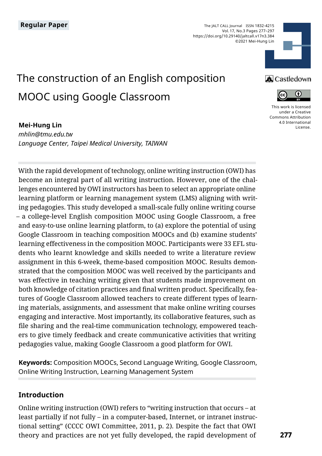The JALT CALL Journal ISSN 1832-4215 Vol. 17, No.3 Pages 277–297 https://doi.org/10.29140/jaltcall.v17n3.384 ©2021 Mei-Hung Lin



# The construction of an English composition MOOC using Google Classroom

#### **Mei-Hung Lin**

*mhlin@tmu.edu.tw Language Center, Taipei Medical University, TAIWAN*

With the rapid development of technology, online writing instruction (OWI) has become an integral part of all writing instruction. However, one of the challenges encountered by OWI instructors has been to select an appropriate online learning platform or learning management system (LMS) aligning with writing pedagogies. This study developed a small-scale fully online writing course – a college-level English composition MOOC using Google Classroom, a free and easy-to-use online learning platform, to (a) explore the potential of using Google Classroom in teaching composition MOOCs and (b) examine students' learning effectiveness in the composition MOOC. Participants were 33 EFL students who learnt knowledge and skills needed to write a literature review assignment in this 6-week, theme-based composition MOOC. Results demonstrated that the composition MOOC was well received by the participants and was effective in teaching writing given that students made improvement on both knowledge of citation practices and final written product. Specifically, features of Google Classroom allowed teachers to create different types of learning materials, assignments, and assessment that make online writing courses engaging and interactive. Most importantly, its collaborative features, such as file sharing and the real-time communication technology, empowered teachers to give timely feedback and create communicative activities that writing pedagogies value, making Google Classroom a good platform for OWI.

**Keywords:** Composition MOOCs, Second Language Writing, Google Classroom, Online Writing Instruction, Learning Management System

#### **Introduction**

Online writing instruction (OWI) refers to "writing instruction that occurs – at least partially if not fully – in a computer-based, Internet, or intranet instructional setting" (CCCC OWI Committee, 2011, p. 2). Despite the fact that OWI theory and practices are not yet fully developed, the rapid development of

## **A** Castledown



[This work is licensed](https://creativecommons.org/licenses/by/4.0/)  [under a Creative](https://creativecommons.org/licenses/by/4.0/)  [Commons Attribution](https://creativecommons.org/licenses/by/4.0/)  [4.0 International](https://creativecommons.org/licenses/by/4.0/)  [License](https://creativecommons.org/licenses/by/4.0/).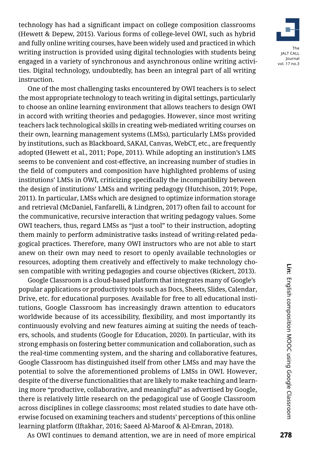

technology has had a significant impact on college composition classrooms (Hewett & Depew, 2015). Various forms of college-level OWI, such as hybrid and fully online writing courses, have been widely used and practiced in which writing instruction is provided using digital technologies with students being engaged in a variety of synchronous and asynchronous online writing activities. Digital technology, undoubtedly, has been an integral part of all writing instruction.

One of the most challenging tasks encountered by OWI teachers is to select the most appropriate technology to teach writing in digital settings, particularly to choose an online learning environment that allows teachers to design OWI in accord with writing theories and pedagogies. However, since most writing teachers lack technological skills in creating web-mediated writing courses on their own, learning management systems (LMSs), particularly LMSs provided by institutions, such as Blackboard, SAKAI, Canvas, WebCT, etc., are frequently adopted (Hewett et al., 2011; Pope, 2011). While adopting an institution's LMS seems to be convenient and cost-effective, an increasing number of studies in the field of computers and composition have highlighted problems of using institutions' LMSs in OWI, criticizing specifically the incompatibility between the design of institutions' LMSs and writing pedagogy (Hutchison, 2019; Pope, 2011). In particular, LMSs which are designed to optimize information storage and retrieval (McDaniel, Fanfarelli, & Lindgren, 2017) often fail to account for the communicative, recursive interaction that writing pedagogy values. Some OWI teachers, thus, regard LMSs as "just a tool" to their instruction, adopting them mainly to perform administrative tasks instead of writing-related pedagogical practices. Therefore, many OWI instructors who are not able to start anew on their own may need to resort to openly available technologies or resources, adopting them creatively and effectively to make technology chosen compatible with writing pedagogies and course objectives (Rickert, 2013).

Google Classroom is a cloud-based platform that integrates many of Google's popular applications or productivity tools such as Docs, Sheets, Slides, Calendar, Drive, etc. for educational purposes. Available for free to all educational institutions, Google Classroom has increasingly drawn attention to educators worldwide because of its accessibility, flexibility, and most importantly its continuously evolving and new features aiming at suiting the needs of teachers, schools, and students (Google for Education, 2020). In particular, with its strong emphasis on fostering better communication and collaboration, such as the real-time commenting system, and the sharing and collaborative features, Google Classroom has distinguished itself from other LMSs and may have the potential to solve the aforementioned problems of LMSs in OWI. However, despite of the diverse functionalities that are likely to make teaching and learning more "productive, collaborative, and meaningful" as advertised by Google, there is relatively little research on the pedagogical use of Google Classroom across disciplines in college classrooms; most related studies to date have otherwise focused on examining teachers and students' perceptions of this online learning platform (Iftakhar, 2016; Saeed Al-Maroof & Al-Emran, 2018).

As OWI continues to demand attention, we are in need of more empirical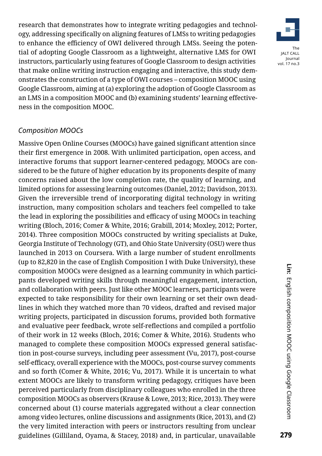research that demonstrates how to integrate writing pedagogies and technology, addressing specifically on aligning features of LMSs to writing pedagogies to enhance the efficiency of OWI delivered through LMSs. Seeing the potential of adopting Google Classroom as a lightweight, alternative LMS for OWI instructors, particularly using features of Google Classroom to design activities that make online writing instruction engaging and interactive, this study demonstrates the construction of a type of OWI courses – composition MOOC using Google Classroom, aiming at (a) exploring the adoption of Google Classroom as an LMS in a composition MOOC and (b) examining students' learning effectiveness in the composition MOOC.

#### *Composition MOOCs*

Massive Open Online Courses (MOOCs) have gained significant attention since their first emergence in 2008. With unlimited participation, open access, and interactive forums that support learner-centered pedagogy, MOOCs are considered to be the future of higher education by its proponents despite of many concerns raised about the low completion rate, the quality of learning, and limited options for assessing learning outcomes (Daniel, 2012; Davidson, 2013). Given the irreversible trend of incorporating digital technology in writing instruction, many composition scholars and teachers feel compelled to take the lead in exploring the possibilities and efficacy of using MOOCs in teaching writing (Bloch, 2016; Comer & White, 2016; Grabill, 2014; Moxley, 2012; Porter, 2014). Three composition MOOCs constructed by writing specialists at Duke, Georgia Institute of Technology (GT), and Ohio State University (OSU) were thus launched in 2013 on Coursera. With a large number of student enrollments (up to 82,820 in the case of English Composition I with Duke University), these composition MOOCs were designed as a learning community in which participants developed writing skills through meaningful engagement, interaction, and collaboration with peers. Just like other MOOC learners, participants were expected to take responsibility for their own learning or set their own deadlines in which they watched more than 70 videos, drafted and revised major writing projects, participated in discussion forums, provided both formative and evaluative peer feedback, wrote self-reflections and compiled a portfolio of their work in 12 weeks (Bloch, 2016; Comer & White, 2016). Students who managed to complete these composition MOOCs expressed general satisfaction in post-course surveys, including peer assessment (Vu, 2017), post-course self-efficacy, overall experience with the MOOCs, post-course survey comments and so forth (Comer & White, 2016; Vu, 2017). While it is uncertain to what extent MOOCs are likely to transform writing pedagogy, critiques have been perceived particularly from disciplinary colleagues who enrolled in the three composition MOOCs as observers (Krause & Lowe, 2013; Rice, 2013). They were concerned about (1) course materials aggregated without a clear connection among video lectures, online discussions and assignments (Rice, 2013), and (2) the very limited interaction with peers or instructors resulting from unclear guidelines (Gilliland, Oyama, & Stacey, 2018) and, in particular, unavailable

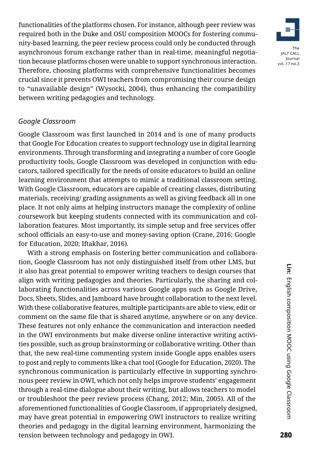functionalities of the platforms chosen. For instance, although peer review was required both in the Duke and OSU composition MOOCs for fostering community-based learning, the peer review process could only be conducted through asynchronous forum exchange rather than in real-time, meaningful negotiation because platforms chosen were unable to support synchronous interaction. Therefore, choosing platforms with comprehensive functionalities becomes crucial since it prevents OWI teachers from compromising their course design to "unavailable design" (Wysocki, 2004), thus enhancing the compatibility between writing pedagogies and technology.

#### *Google Classroom*

Google Classroom was first launched in 2014 and is one of many products that Google For Education creates to support technology use in digital learning environments. Through transforming and integrating a number of core Google productivity tools, Google Classroom was developed in conjunction with educators, tailored specifically for the needs of onsite educators to build an online learning environment that attempts to mimic a traditional classroom setting. With Google Classroom, educators are capable of creating classes, distributing materials, receiving/ grading assignments as well as giving feedback all in one place. It not only aims at helping instructors manage the complexity of online coursework but keeping students connected with its communication and collaboration features. Most importantly, its simple setup and free services offer school officials an easy-to-use and money-saving option (Crane, 2016; Google for Education, 2020; Iftakhar, 2016).

With a strong emphasis on fostering better communication and collaboration, Google Classroom has not only distinguished itself from other LMS, but it also has great potential to empower writing teachers to design courses that align with writing pedagogies and theories. Particularly, the sharing and collaborating functionalities across various Google apps such as Google Drive, Docs, Sheets, Slides, and Jamboard have brought collaboration to the next level. With these collaborative features, multiple participants are able to view, edit or comment on the same file that is shared anytime, anywhere or on any device. These features not only enhance the communication and interaction needed in the OWI environments but make diverse online interactive writing activities possible, such as group brainstorming or collaborative writing. Other than that, the new real-time commenting system inside Google apps enables users to post and reply to comments like a chat tool (Google for Education, 2020). The synchronous communication is particularly effective in supporting synchronous peer review in OWI, which not only helps improve students' engagement through a real-time dialogue about their writing, but allows teachers to model or troubleshoot the peer review process (Chang, 2012; Min, 2005). All of the aforementioned functionalities of Google Classroom, if appropriately designed, may have great potential in empowering OWI instructors to realize writing theories and pedagogy in the digital learning environment, harmonizing the tension between technology and pedagogy in OWI.

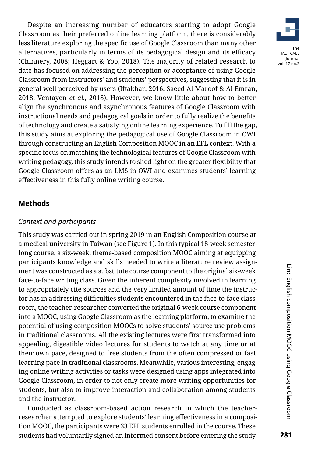Despite an increasing number of educators starting to adopt Google Classroom as their preferred online learning platform, there is considerably less literature exploring the specific use of Google Classroom than many other alternatives, particularly in terms of its pedagogical design and its efficacy (Chinnery, 2008; Heggart & Yoo, 2018). The majority of related research to date has focused on addressing the perception or acceptance of using Google Classroom from instructors' and students' perspectives, suggesting that it is in general well perceived by users (Iftakhar, 2016; Saeed Al-Maroof & Al-Emran, 2018; Ventayen *et al.,* 2018). However, we know little about how to better align the synchronous and asynchronous features of Google Classroom with instructional needs and pedagogical goals in order to fully realize the benefits of technology and create a satisfying online learning experience. To fill the gap, this study aims at exploring the pedagogical use of Google Classroom in OWI through constructing an English Composition MOOC in an EFL context. With a specific focus on matching the technological features of Google Classroom with writing pedagogy, this study intends to shed light on the greater flexibility that Google Classroom offers as an LMS in OWI and examines students' learning effectiveness in this fully online writing course.

#### **Methods**

#### *Context and participants*

This study was carried out in spring 2019 in an English Composition course at a medical university in Taiwan (see Figure 1). In this typical 18-week semesterlong course, a six-week, theme-based composition MOOC aiming at equipping participants knowledge and skills needed to write a literature review assignment was constructed as a substitute course component to the original six-week face-to-face writing class. Given the inherent complexity involved in learning to appropriately cite sources and the very limited amount of time the instructor has in addressing difficulties students encountered in the face-to-face classroom, the teacher-researcher converted the original 6-week course component into a MOOC, using Google Classroom as the learning platform, to examine the potential of using composition MOOCs to solve students' source use problems in traditional classrooms. All the existing lectures were first transformed into appealing, digestible video lectures for students to watch at any time or at their own pace, designed to free students from the often compressed or fast learning pace in traditional classrooms. Meanwhile, various interesting, engaging online writing activities or tasks were designed using apps integrated into Google Classroom, in order to not only create more writing opportunities for students, but also to improve interaction and collaboration among students and the instructor.

Conducted as classroom-based action research in which the teacherresearcher attempted to explore students' learning effectiveness in a composition MOOC, the participants were 33 EFL students enrolled in the course. These students had voluntarily signed an informed consent before entering the study

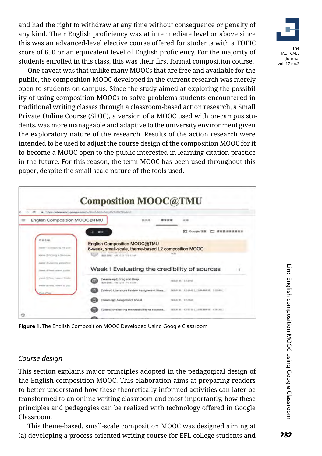and had the right to withdraw at any time without consequence or penalty of any kind. Their English proficiency was at intermediate level or above since this was an advanced-level elective course offered for students with a TOEIC score of 650 or an equivalent level of English proficiency. For the majority of students enrolled in this class, this was their first formal composition course.

One caveat was that unlike many MOOCs that are free and available for the public, the composition MOOC developed in the current research was merely open to students on campus. Since the study aimed at exploring the possibility of using composition MOOCs to solve problems students encountered in traditional writing classes through a classroom-based action research, a Small Private Online Course (SPOC), a version of a MOOC used with on-campus students, was more manageable and adaptive to the university environment given the exploratory nature of the research. Results of the action research were intended to be used to adjust the course design of the composition MOOC for it to become a MOOC open to the public interested in learning citation practice in the future. For this reason, the term MOOC has been used throughout this paper, despite the small scale nature of the tools used.



**Figure 1.** The English Composition MOOC Developed Using Google Classroom

#### *Course design*

This section explains major principles adopted in the pedagogical design of the English composition MOOC. This elaboration aims at preparing readers to better understand how these theoretically-informed activities can later be transformed to an online writing classroom and most importantly, how these principles and pedagogies can be realized with technology offered in Google Classroom.

This theme-based, small-scale composition MOOC was designed aiming at (a) developing a process-oriented writing course for EFL college students and

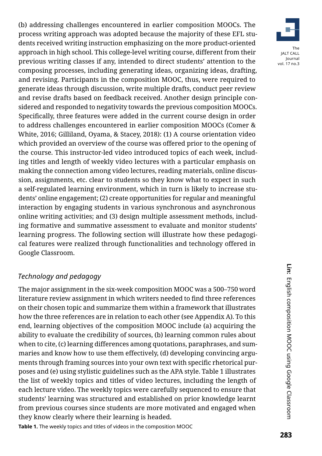(b) addressing challenges encountered in earlier composition MOOCs. The process writing approach was adopted because the majority of these EFL students received writing instruction emphasizing on the more product-oriented approach in high school. This college-level writing course, different from their previous writing classes if any, intended to direct students' attention to the composing processes, including generating ideas, organizing ideas, drafting, and revising. Participants in the composition MOOC, thus, were required to generate ideas through discussion, write multiple drafts, conduct peer review and revise drafts based on feedback received. Another design principle considered and responded to negativity towards the previous composition MOOCs. Specifically, three features were added in the current course design in order to address challenges encountered in earlier composition MOOCs (Comer & White, 2016; Gilliland, Oyama, & Stacey, 2018): (1) A course orientation video which provided an overview of the course was offered prior to the opening of the course. This instructor-led video introduced topics of each week, including titles and length of weekly video lectures with a particular emphasis on making the connection among video lectures, reading materials, online discussion, assignments, etc. clear to students so they know what to expect in such a self-regulated learning environment, which in turn is likely to increase students' online engagement; (2) create opportunities for regular and meaningful interaction by engaging students in various synchronous and asynchronous online writing activities; and (3) design multiple assessment methods, including formative and summative assessment to evaluate and monitor students' learning progress. The following section will illustrate how these pedagogical features were realized through functionalities and technology offered in Google Classroom.

#### *Technology and pedagogy*

The major assignment in the six-week composition MOOC was a 500–750 word literature review assignment in which writers needed to find three references on their chosen topic and summarize them within a framework that illustrates how the three references are in relation to each other (see Appendix A). To this end, learning objectives of the composition MOOC include (a) acquiring the ability to evaluate the credibility of sources, (b) learning common rules about when to cite, (c) learning differences among quotations, paraphrases, and summaries and know how to use them effectively, (d) developing convincing arguments through framing sources into your own text with specific rhetorical purposes and (e) using stylistic guidelines such as the APA style. Table 1 illustrates the list of weekly topics and titles of video lectures, including the length of each lecture video. The weekly topics were carefully sequenced to ensure that students' learning was structured and established on prior knowledge learnt from previous courses since students are more motivated and engaged when they know clearly where their learning is headed.

**Table 1.** The weekly topics and titles of videos in the composition MOOC

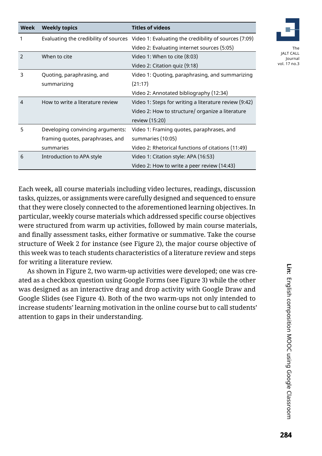| Week          | <b>Weekly topics</b>             | <b>Titles of videos</b>                                                                     |
|---------------|----------------------------------|---------------------------------------------------------------------------------------------|
| 1             |                                  | Evaluating the credibility of sources Video 1: Evaluating the credibility of sources (7:09) |
|               |                                  | Video 2: Evaluating internet sources (5:05)                                                 |
| $\mathcal{P}$ | When to cite                     | Video 1: When to cite (8:03)                                                                |
|               |                                  | Video 2: Citation quiz (9:18)                                                               |
| 3             | Quoting, paraphrasing, and       | Video 1: Quoting, paraphrasing, and summarizing                                             |
|               | summarizing                      | (21:17)                                                                                     |
|               |                                  | Video 2: Annotated bibliography (12:34)                                                     |
| 4             | How to write a literature review | Video 1: Steps for writing a literature review (9:42)                                       |
|               |                                  | Video 2: How to structure/ organize a literature                                            |
|               |                                  | review (15:20)                                                                              |
| 5             | Developing convincing arguments: | Video 1: Framing guotes, paraphrases, and                                                   |
|               | framing quotes, paraphrases, and | summaries (10:05)                                                                           |
|               | summaries                        | Video 2: Rhetorical functions of citations (11:49)                                          |
| 6             | Introduction to APA style        | Video 1: Citation style: APA (16:53)                                                        |
|               |                                  | Video 2: How to write a peer review (14:43)                                                 |

Each week, all course materials including video lectures, readings, discussion tasks, quizzes, or assignments were carefully designed and sequenced to ensure that they were closely connected to the aforementioned learning objectives. In particular, weekly course materials which addressed specific course objectives were structured from warm up activities, followed by main course materials, and finally assessment tasks, either formative or summative. Take the course structure of Week 2 for instance (see Figure 2), the major course objective of this week was to teach students characteristics of a literature review and steps for writing a literature review.

As shown in Figure 2, two warm-up activities were developed; one was created as a checkbox question using Google Forms (see Figure 3) while the other was designed as an interactive drag and drop activity with Google Draw and Google Slides (see Figure 4). Both of the two warm-ups not only intended to increase students' learning motivation in the online course but to call students' attention to gaps in their understanding.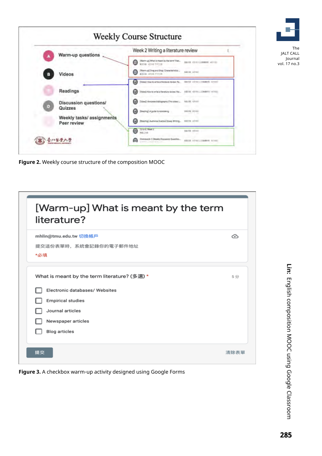|                              |                                         | Week 2 Writing a literature review                                                                               |  |
|------------------------------|-----------------------------------------|------------------------------------------------------------------------------------------------------------------|--|
| Warm-up questions            |                                         | (Warm-up) What is meant by the term "liter.<br><b>BRIDE CYCLILLERING AT</b><br>O<br><b>Within "48516" WASHIN</b> |  |
| я                            | Videos                                  | Wenn-up) Drag and Drap Characteristics<br><b>BALLIN AIRAU</b><br>G<br><b>AXIS</b> JOVE FED H                     |  |
|                              |                                         | (Video) How to write a literature revise! Fa.<br>BAILEY ASTALL TOWARDS, AITEST<br>œ                              |  |
|                              | Readings                                | ω<br>(Video) How to write a theration review) Par                                                                |  |
| <b>Discussion questions/</b> |                                         | [Vow]: Avvizona iniziography (This vittee L.<br>ഒ<br><b>SECRE CRIME</b>                                          |  |
| Đ                            | Quizzes                                 | ⋒<br>(leading). A guide to nationalize                                                                           |  |
|                              | Weekly tasks/assignments<br>Peer review | ⋒<br>(Residing): Auditeina Analysis (Essay Writing SHETTEL ARTIST                                                |  |
|                              |                                         | TO & All Vinex 2<br>$\bullet$<br><b>BATR ADM</b><br>nelse                                                        |  |
|                              |                                         | (Horseverk, I) (Weekly Discussion Question,<br>ക                                                                 |  |

**Figure 2.** Weekly course structure of the composition MOOC

| [Warm-up] What is meant by the term<br>literature?    |      |
|-------------------------------------------------------|------|
| mhlin@tmu.edu.tw 切換帳戶<br>提交這份表單時,系統會記錄你的電子郵件地址<br>*必填 | ∞    |
| What is meant by the term literature? (多選) *          | 5分   |
| Electronic databases/ Websites                        |      |
| <b>Empirical studies</b>                              |      |
| Journal articles                                      |      |
| Newspaper articles                                    |      |
| <b>Blog articles</b>                                  |      |
| 提交                                                    | 清除表單 |

**Figure 3.** A checkbox warm-up activity designed using Google Forms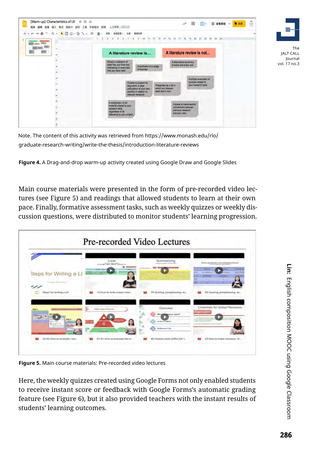



Note. The content of this activity was retrieved from https://www.monash.edu/rlo/ graduate-research-writing/write-the-thesis/introduction-literature-reviews

**Figure 4.** A Drag-and-drop warm-up activity created using Google Draw and Google Slides

Main course materials were presented in the form of pre-recorded video lectures (see Figure 5) and readings that allowed students to learn at their own pace. Finally, formative assessment tasks, such as weekly quizzes or weekly discussion questions, were distributed to monitor students' learning progression.

|                                | Local<br>musters come share company       | Summarizing<br>Public side select cost systems | Studio, planestinesse, and summariled property |
|--------------------------------|-------------------------------------------|------------------------------------------------|------------------------------------------------|
| Steps for Writing a LI         |                                           |                                                | <b>Sure 4</b>                                  |
|                                |                                           |                                                |                                                |
| In company discussed de-<br>رس |                                           |                                                |                                                |
| Steps for writing a LR         | 10 How to write a peer revie              | 09 Quoting, paraphrasing, an                   | Oli Quoting, paraphrasing, an                  |
|                                |                                           |                                                |                                                |
| <b>NO.1</b>                    | <b><i>Children County of American</i></b> | Overview                                       | Checkfists for Global Revisions                |
| -                              |                                           | <b>Balabon style?</b>                          | <b>START</b>                                   |
| NG 3                           |                                           | <b><i>Eviden Cratton</i></b>                   |                                                |
|                                |                                           | <b>Bultimond List</b>                          |                                                |

**Figure 5.** Main course materials: Pre-recorded video lectures

Here, the weekly quizzes created using Google Forms not only enabled students to receive instant score or feedback with Google Forms's automatic grading feature (see Figure 6), but it also provided teachers with the instant results of students' learning outcomes.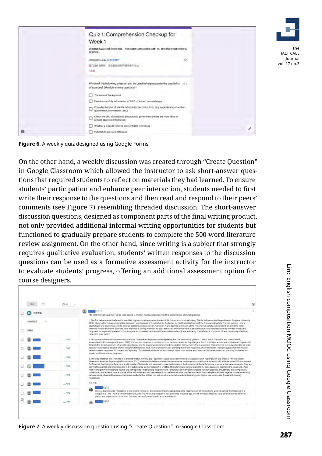

**Figure 6.** A weekly quiz designed using Google Forms

On the other hand, a weekly discussion was created through "Create Question" in Google Classroom which allowed the instructor to ask short-answer questions that required students to reflect on materials they had learned. To ensure students' participation and enhance peer interaction, students needed to first write their response to the questions and then read and respond to their peers' comments (see Figure 7) resembling threaded discussion. The short-answer discussion questions, designed as component parts of the final writing product, not only provided additional informal writing opportunities for students but functioned to gradually prepare students to complete the 500-word literature review assignment. On the other hand, since writing is a subject that strongly requires qualitative evaluation, students' written responses to the discussion questions can be used as a formative assessment activity for the instructor to evaluate students' progress, offering an additional assessment option for course designers.

|              | 100.45  |                                                                                                                                                                                                                                                                                                                                                                                                                                                                                                                                                                                                                                                                                                                                                                                                                                                                                                                                             |  |
|--------------|---------|---------------------------------------------------------------------------------------------------------------------------------------------------------------------------------------------------------------------------------------------------------------------------------------------------------------------------------------------------------------------------------------------------------------------------------------------------------------------------------------------------------------------------------------------------------------------------------------------------------------------------------------------------------------------------------------------------------------------------------------------------------------------------------------------------------------------------------------------------------------------------------------------------------------------------------------------|--|
| 折有拳生         |         | 5月2日<br>The controversial issue that I would lie to explore is whether money and private wealth is a determinant of one's happiness.                                                                                                                                                                                                                                                                                                                                                                                                                                                                                                                                                                                                                                                                                                                                                                                                        |  |
| 効用型器序<br>戸静水 |         | 1. The first inference that Indianed to is entitled "High income Improves evaluation of life but not emotional well-being" (Daniel Kalmenian and Angua Deaton, Princebar University,<br>2016) I believe this reference is credible because these reviewed and published by the Denter for Health and Well-being of the Princeton University. The beb authors - cine is<br>psychologist and aconomist, and the other an academic and economist - were both highly deemed professors at the Princeton University and were both awarded the Nobel.<br>Memorial Prize in Economic Sciences. This reference is closely related to my topic because it shows that there is an elating but conditional relationship between money and<br>happiess through a study research companing annual household income and life lealisation and emotional well-berits. The reference informs us of now meney only affects our<br>hallopinkiss to air extent. |  |
|              | 7100    | 2. The second reference that I referred to in entried "Money Buics Happiness When Spending Fits Dal Personality" (Saledia C. Matz, Joe J. Cladistone, and David Stillwell)<br>Association for Psychological Science, 2016). The use this reformed is credible baskups the Association for Psychological Spience (APIS) is an international enganization                                                                                                                                                                                                                                                                                                                                                                                                                                                                                                                                                                                     |  |
|              | 100     | dedicated to the advancement of acceptific psychicitiesy and its research, application, toodhing, and the improvement of human weifure. This releaser on a crusofy misted to my teach<br>because in contrast to decades of prior research that reported weak relationships between spending money and happiness, this more recent finding supports that money does<br>indeed increase happiness if it is spent the "right way". This reference informs us that having a higher total income and thus total "personalty-matched spending" increases the<br>buyer's positive emetions, happiness.                                                                                                                                                                                                                                                                                                                                             |  |
|              | $-7100$ | 3. The third reference that ineferred to is entitled "Wealth, Poverty, and Happiness Social Class is Differentially Associated With Positive Ensclores" (Paul K, PIII and Jake R,<br>Moskowitz, American Psychological Association, 2017). I believe this reference is credible because the study was concurred by the University of California under P/R, an Assistant                                                                                                                                                                                                                                                                                                                                                                                                                                                                                                                                                                     |  |
|              | /100    | Professor of Paydrological Science at the University of California, and Moskowitz, a doctoral student in the Psychology & Social Behaviour program at the same university. They are<br>both highly qualified and knowledgeable in this subject area, so their research is credible. This reference is closely related to my topic because it examines the cause and effect<br>relationship between household income and self-reported tendencies to experience the 7 distinct positive emotions that are onte to happiness; emusement, ewe, compassion,                                                                                                                                                                                                                                                                                                                                                                                     |  |
|              | 100     | contentment, enthusiasm, love, and pride, While still consistent with past research, this reference further clarifies how rather than a simple positive or necative correlation existing.<br>between social class and happiness happiness can be further divided into self- or other-oriented emotions depending on a high or low social class (household income).<br>respectively.                                                                                                                                                                                                                                                                                                                                                                                                                                                                                                                                                         |  |
|              | $-700$  | 2 灵山湖<br>6月7日                                                                                                                                                                                                                                                                                                                                                                                                                                                                                                                                                                                                                                                                                                                                                                                                                                                                                                                               |  |
|              | $-7100$ | Hi, your topic equivis interesting. In the second reference, it mentioned that shopping does bring happiness which reminds me a movie named "Confessions of a<br>Shopsholic'. And I have a little concern about the first reference because it was published ten years ago. I think the result may be a little different due to different.<br>period and the economic concition. Still I am looking forward to your article and result.                                                                                                                                                                                                                                                                                                                                                                                                                                                                                                     |  |
|              | 100     |                                                                                                                                                                                                                                                                                                                                                                                                                                                                                                                                                                                                                                                                                                                                                                                                                                                                                                                                             |  |

**Figure 7.** A weekly discussion question using "Create Question" in Google Classroom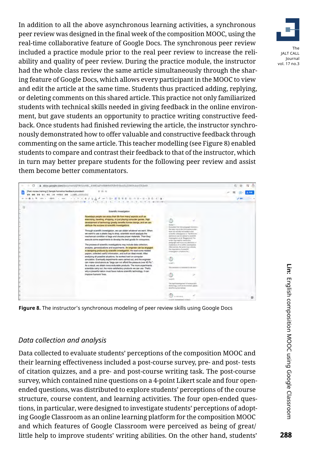In addition to all the above asynchronous learning activities, a synchronous peer review was designed in the final week of the composition MOOC, using the real-time collaborative feature of Google Docs. The synchronous peer review included a practice module prior to the real peer review to increase the reliability and quality of peer review. During the practice module, the instructor had the whole class review the same article simultaneously through the sharing feature of Google Docs, which allows every participant in the MOOC to view and edit the article at the same time. Students thus practiced adding, replying, or deleting comments on this shared article. This practice not only familiarized students with technical skills needed in giving feedback in the online environment, but gave students an opportunity to practice writing constructive feedback. Once students had finished reviewing the article, the instructor synchronously demonstrated how to offer valuable and constructive feedback through commenting on the same article. This teacher modelling (see Figure 8) enabled students to compare and contrast their feedback to that of the instructor, which in turn may better prepare students for the following peer review and assist them become better commentators.



**Figure 8.** The instructor's synchronous modeling of peer review skills using Google Docs

#### *Data collection and analysis*

Data collected to evaluate students' perceptions of the composition MOOC and their learning effectiveness included a post-course survey, pre- and post- tests of citation quizzes, and a pre- and post-course writing task. The post-course survey, which contained nine questions on a 4-point Likert scale and four openended questions, was distributed to explore students' perceptions of the course structure, course content, and learning activities. The four open-ended questions, in particular, were designed to investigate students' perceptions of adopting Google Classroom as an online learning platform for the composition MOOC and which features of Google Classroom were perceived as being of great/ little help to improve students' writing abilities. On the other hand, students'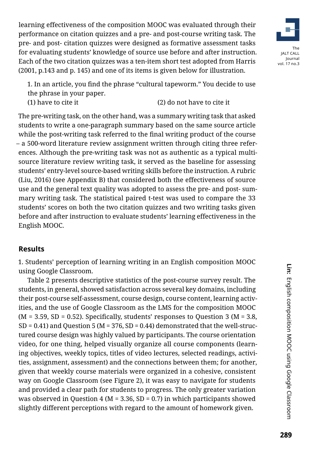learning effectiveness of the composition MOOC was evaluated through their performance on citation quizzes and a pre- and post-course writing task. The pre- and post- citation quizzes were designed as formative assessment tasks for evaluating students' knowledge of source use before and after instruction. Each of the two citation quizzes was a ten-item short test adopted from Harris (2001, p.143 and p. 145) and one of its items is given below for illustration.



1. In an article, you find the phrase "cultural tapeworm." You decide to use the phrase in your paper. (1) have to cite it (2) do not have to cite it

The pre-writing task, on the other hand, was a summary writing task that asked students to write a one-paragraph summary based on the same source article while the post-writing task referred to the final writing product of the course – a 500-word literature review assignment written through citing three references. Although the pre-writing task was not as authentic as a typical multisource literature review writing task, it served as the baseline for assessing students' entry-level source-based writing skills before the instruction. A rubric (Liu, 2016) (see Appendix B) that considered both the effectiveness of source use and the general text quality was adopted to assess the pre- and post- summary writing task. The statistical paired t-test was used to compare the 33 students' scores on both the two citation quizzes and two writing tasks given before and after instruction to evaluate students' learning effectiveness in the English MOOC.

## **Results**

1. Students' perception of learning writing in an English composition MOOC using Google Classroom.

Table 2 presents descriptive statistics of the post-course survey result. The students, in general, showed satisfaction across several key domains, including their post-course self-assessment, course design, course content, learning activities, and the use of Google Classroom as the LMS for the composition MOOC  $(M = 3.59, SD = 0.52)$ . Specifically, students' responses to Question 3 (M = 3.8,  $SD = 0.41$ ) and Question 5 (M = 376, SD = 0.44) demonstrated that the well-structured course design was highly valued by participants. The course orientation video, for one thing, helped visually organize all course components (learning objectives, weekly topics, titles of video lectures, selected readings, activities, assignment, assessment) and the connections between them; for another, given that weekly course materials were organized in a cohesive, consistent way on Google Classroom (see Figure 2), it was easy to navigate for students and provided a clear path for students to progress. The only greater variation was observed in Question 4 ( $M = 3.36$ , SD = 0.7) in which participants showed slightly different perceptions with regard to the amount of homework given.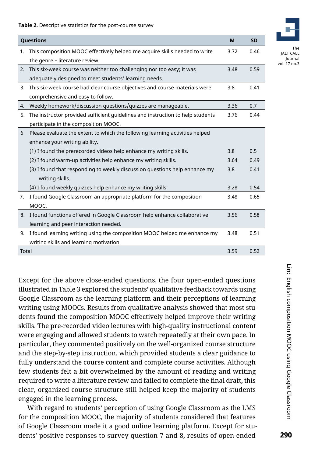**Table 2.** Descriptive statistics for the post-course survey

|       | <b>Questions</b>                                                                                                               | M    | <b>SD</b> |
|-------|--------------------------------------------------------------------------------------------------------------------------------|------|-----------|
| 1.    | This composition MOOC effectively helped me acquire skills needed to write<br>the genre - literature review.                   | 3.72 | 0.46      |
| 2.    | This six-week course was neither too challenging nor too easy; it was<br>adequately designed to meet students' learning needs. | 3.48 | 0.59      |
| 3.    | This six-week course had clear course objectives and course materials were<br>comprehensive and easy to follow.                | 3.8  | 0.41      |
| 4.    | Weekly homework/discussion questions/quizzes are manageable.                                                                   | 3.36 | 0.7       |
| 5.    | The instructor provided sufficient guidelines and instruction to help students<br>participate in the composition MOOC.         | 3.76 | 0.44      |
| 6     | Please evaluate the extent to which the following learning activities helped<br>enhance your writing ability.                  |      |           |
|       | (1) I found the prerecorded videos help enhance my writing skills.                                                             | 3.8  | 0.5       |
|       | (2) I found warm-up activities help enhance my writing skills.                                                                 | 3.64 | 0.49      |
|       | (3) I found that responding to weekly discussion questions help enhance my<br>writing skills.                                  | 3.8  | 0.41      |
|       | (4) I found weekly quizzes help enhance my writing skills.                                                                     | 3.28 | 0.54      |
| 7.    | I found Google Classroom an appropriate platform for the composition<br>MOOC.                                                  | 3.48 | 0.65      |
|       | 8. I found functions offered in Google Classroom help enhance collaborative                                                    | 3.56 | 0.58      |
|       | learning and peer interaction needed.                                                                                          |      |           |
| 9.    | I found learning writing using the composition MOOC helped me enhance my<br>writing skills and learning motivation.            | 3.48 | 0.51      |
| Total |                                                                                                                                | 3.59 | 0.52      |

Except for the above close-ended questions, the four open-ended questions illustrated in Table 3 explored the students' qualitative feedback towards using Google Classroom as the learning platform and their perceptions of learning writing using MOOCs. Results from qualitative analysis showed that most students found the composition MOOC effectively helped improve their writing skills. The pre-recorded video lectures with high-quality instructional content were engaging and allowed students to watch repeatedly at their own pace. In particular, they commented positively on the well-organized course structure and the step-by-step instruction, which provided students a clear guidance to fully understand the course content and complete course activities. Although few students felt a bit overwhelmed by the amount of reading and writing required to write a literature review and failed to complete the final draft, this clear, organized course structure still helped keep the majority of students engaged in the learning process.

With regard to students' perception of using Google Classroom as the LMS for the composition MOOC, the majority of students considered that features of Google Classroom made it a good online learning platform. Except for students' positive responses to survey question 7 and 8, results of open-ended



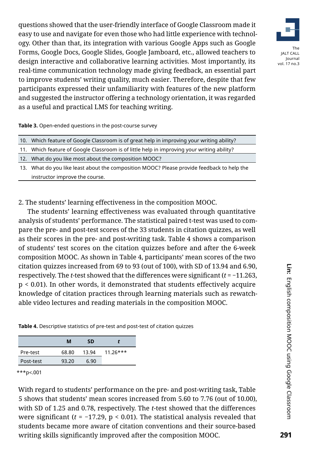The JALT CALL Journal vol. 17 no.3

questions showed that the user-friendly interface of Google Classroom made it easy to use and navigate for even those who had little experience with technology. Other than that, its integration with various Google Apps such as Google Forms, Google Docs, Google Slides, Google Jamboard, etc., allowed teachers to design interactive and collaborative learning activities. Most importantly, its real-time communication technology made giving feedback, an essential part to improve students' writing quality, much easier. Therefore, despite that few participants expressed their unfamiliarity with features of the new platform and suggested the instructor offering a technology orientation, it was regarded as a useful and practical LMS for teaching writing.

**Table 3.** Open-ended questions in the post-course survey

| 10. Which feature of Google Classroom is of great help in improving your writing ability? |
|-------------------------------------------------------------------------------------------|
|                                                                                           |

- 11. Which feature of Google Classroom is of little help in improving your writing ability?
- 12. What do you like most about the composition MOOC?
- 13. What do you like least about the composition MOOC? Please provide feedback to help the instructor improve the course.

2. The students' learning effectiveness in the composition MOOC.

The students' learning effectiveness was evaluated through quantitative analysis of students' performance. The statistical paired t-test was used to compare the pre- and post-test scores of the 33 students in citation quizzes, as well as their scores in the pre- and post-writing task. Table 4 shows a comparison of students' test scores on the citation quizzes before and after the 6-week composition MOOC. As shown in Table 4, participants' mean scores of the two citation quizzes increased from 69 to 93 (out of 100), with SD of 13.94 and 6.90, respectively. The *t*-test showed that the differences were significant (*t* = −11.263, p < 0.01). In other words, it demonstrated that students effectively acquire knowledge of citation practices through learning materials such as rewatchable video lectures and reading materials in the composition MOOC.

**Table 4.** Descriptive statistics of pre-test and post-test of citation quizzes

|           | м     | SD.   |            |
|-----------|-------|-------|------------|
| Pre-test  | 68.80 | 13.94 | $11.26***$ |
| Post-test | 93.20 | 6.90  |            |

\*\*\*p<.001

With regard to students' performance on the pre- and post-writing task, Table 5 shows that students' mean scores increased from 5.60 to 7.76 (out of 10.00), with SD of 1.25 and 0.78, respectively. The *t*-test showed that the differences were significant  $(t = -17.29, p < 0.01)$ . The statistical analysis revealed that students became more aware of citation conventions and their source-based writing skills significantly improved after the composition MOOC.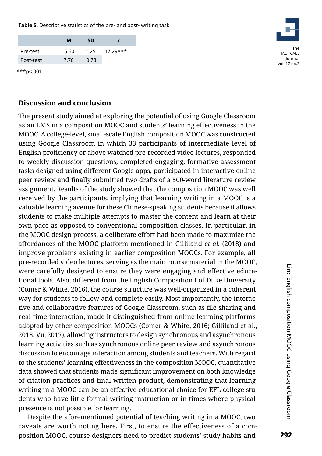**Table 5.** Descriptive statistics of the pre- and post- writing task

|           | м    | SD   |            |
|-----------|------|------|------------|
| Pre-test  | 5.60 | 1.25 | $17.29***$ |
| Post-test | 7.76 | 0.78 |            |



\*\*\*p<.001

### **Discussion and conclusion**

The present study aimed at exploring the potential of using Google Classroom as an LMS in a composition MOOC and students' learning effectiveness in the MOOC. A college-level, small-scale English composition MOOC was constructed using Google Classroom in which 33 participants of intermediate level of English proficiency or above watched pre-recorded video lectures, responded to weekly discussion questions, completed engaging, formative assessment tasks designed using different Google apps, participated in interactive online peer review and finally submitted two drafts of a 500-word literature review assignment. Results of the study showed that the composition MOOC was well received by the participants, implying that learning writing in a MOOC is a valuable learning avenue for these Chinese-speaking students because it allows students to make multiple attempts to master the content and learn at their own pace as opposed to conventional composition classes. In particular, in the MOOC design process, a deliberate effort had been made to maximize the affordances of the MOOC platform mentioned in Gilliland *et al.* (2018) and improve problems existing in earlier composition MOOCs. For example, all pre-recorded video lectures, serving as the main course material in the MOOC, were carefully designed to ensure they were engaging and effective educational tools. Also, different from the English Composition I of Duke University (Comer & White, 2016), the course structure was well-organized in a coherent way for students to follow and complete easily. Most importantly, the interactive and collaborative features of Google Classroom, such as file sharing and real-time interaction, made it distinguished from online learning platforms adopted by other composition MOOCs (Comer & White, 2016; Gilliland et al., 2018; Vu, 2017), allowing instructors to design synchronous and asynchronous learning activities such as synchronous online peer review and asynchronous discussion to encourage interaction among students and teachers. With regard to the students' learning effectiveness in the composition MOOC, quantitative data showed that students made significant improvement on both knowledge of citation practices and final written product, demonstrating that learning writing in a MOOC can be an effective educational choice for EFL college students who have little formal writing instruction or in times where physical presence is not possible for learning.

Despite the aforementioned potential of teaching writing in a MOOC, two caveats are worth noting here. First, to ensure the effectiveness of a composition MOOC, course designers need to predict students' study habits and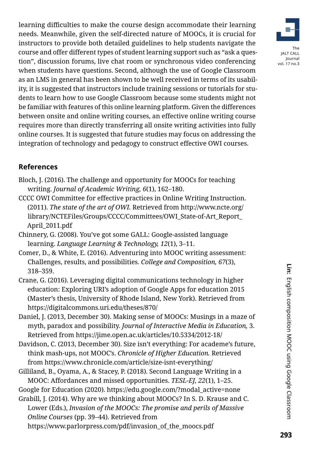learning difficulties to make the course design accommodate their learning needs. Meanwhile, given the self-directed nature of MOOCs, it is crucial for instructors to provide both detailed guidelines to help students navigate the course and offer different types of student learning support such as "ask a question", discussion forums, live chat room or synchronous video conferencing when students have questions. Second, although the use of Google Classroom as an LMS in general has been shown to be well received in terms of its usability, it is suggested that instructors include training sessions or tutorials for students to learn how to use Google Classroom because some students might not be familiar with features of this online learning platform. Given the differences between onsite and online writing courses, an effective online writing course requires more than directly transferring all onsite writing activities into fully online courses. It is suggested that future studies may focus on addressing the integration of technology and pedagogy to construct effective OWI courses.

# **References**

- Bloch, J. (2016). The challenge and opportunity for MOOCs for teaching writing. *Journal of Academic Writing, 6*(1), 162–180.
- CCCC OWI Committee for effective practices in Online Writing Instruction. (2011). *The state of the art of OWI.* Retrieved from [http://www.ncte.org/](http://www.ncte.org/ library/NCTEFiles/Groups/CCCC/Committees/OWI_State-of-Art_Report_April_2011.pdf)  [library/NCTEFiles/Groups/CCCC/Committees/OWI\\_State-of-Art\\_Report\\_](http://www.ncte.org/ library/NCTEFiles/Groups/CCCC/Committees/OWI_State-of-Art_Report_April_2011.pdf) [April\\_2011.pdf](http://www.ncte.org/ library/NCTEFiles/Groups/CCCC/Committees/OWI_State-of-Art_Report_April_2011.pdf)
- Chinnery, G. (2008). You've got some GALL: Google-assisted language learning. *Language Learning & Technology, 12*(1), 3–11.
- Comer, D., & White, E. (2016). Adventuring into MOOC writing assessment: Challenges, results, and possibilities. *College and Composition, 67*(3), 318–359.
- Crane, G. (2016). Leveraging digital communications technology in higher education: Exploring URI's adoption of Google Apps for education 2015 (Master's thesis, University of Rhode Island, New York). Retrieved from https://digitalcommons.uri.edu/theses/870/
- Daniel, J. (2013, December 30). Making sense of MOOCs: Musings in a maze of myth, paradox and possibility. *Journal of Interactive Media in Education,* 3. Retrieved from https://jime.open.ac.uk/articles/10.5334/2012-18/
- Davidson, C. (2013, December 30). Size isn't everything: For academe's future, think mash-ups, not MOOC's. *Chronicle of Higher Education.* Retrieved from https://www.chronicle.com/article/size-isnt-everything/
- Gilliland, B., Oyama, A., & Stacey, P. (2018). Second Language Writing in a MOOC: Affordances and missed opportunities. *TESL-EJ, 22*(1), 1–25.
- Google for Education (2020). https://edu.google.com/?modal\_active=none Grabill, J. (2014). Why are we thinking about MOOCs? In S. D. Krause and C.
- Lower (Eds.), *Invasion of the MOOCs: The promise and perils of Massive Online Courses* (pp. 39–44). Retrieved from
	- [https://www.parlorpress.com/pdf/invasion\\_of\\_the\\_moocs.pdf](https://www.parlorpress.com/pdf/invasion_of_the_moocs.pdf)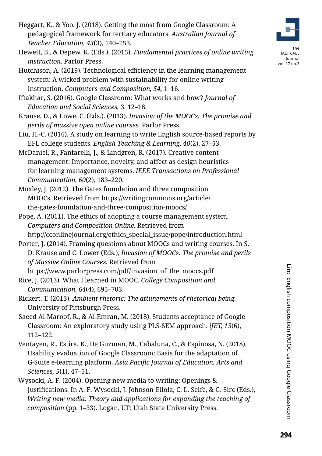- Heggart, K., & Yoo, J. (2018). Getting the most from Google Classroom: A pedagogical framework for tertiary educators. *Australian Journal of Teacher Education, 43*(3), 140–153.
- Hewett, B., & Depew, K. (Eds.). (2015). *Fundamental practices of online writing instruction.* Parlor Press.
- Hutchison, A. (2019). Technological efficiency in the learning management system: A wicked problem with sustainability for online writing instruction. *Computers and Composition, 54,* 1–16.
- Iftakhar, S. (2016). Google Classroom: What works and how? *Journal of Education and Social Sciences,* 3, 12–18.
- Krause, D., & Lowe, C. (Eds.). (2013). *Invasion of the MOOCs: The promise and perils of massive open online courses.* Parlor Press.
- Liu, H.-C. (2016). A study on learning to write English source-based reports by EFL college students. *English Teaching & Learning, 40*(2), 27–53.
- McDaniel, R., Fanfarelli, J., & Lindgren, R. (2017). Creative content management: Importance, novelty, and affect as design heuristics for learning management systems. *IEEE Transactions on Professional Communication, 60*(2), 183–220.
- Moxley, J. (2012). The Gates foundation and three composition MOOCs. Retrieved from [https://writingcommons.org/article/](https://writingcommons.org/article/the-gates-foundation-and-three-composition-moocs/) [the-gates-foundation-and-three-composition-moocs/](https://writingcommons.org/article/the-gates-foundation-and-three-composition-moocs/)
- Pope, A. (2011). The ethics of adopting a course management system. *Computers and Composition Online.* Retrieved from
	- http://cconlinejournal.org/ethics\_special\_issue/pope/introduction.html
- Porter, J. (2014). Framing questions about MOOCs and writing courses. In S. D. Krause and C. Lower (Eds.), *Invasion of MOOCs: The promise and perils of Massive Online Courses.* Retrieved from https://www.parlorpress.com/pdf/invasion\_of\_the\_moocs.pdf
- Rice, J. (2013). What I learned in MOOC. *College Composition and Communication, 64*(4), 695–703.
- Rickert. T. (2013). *Ambient rhetoric: The attunements of rhetorical being.* University of Pittsburgh Press.
- Saeed Al-Maroof, R., & Al-Emran, M. (2018). Students acceptance of Google Classroom: An exploratory study using PLS-SEM approach. *iJET, 13*(6), 112–122.
- Ventayen, R., Estira, K., De Guzman, M., Cabaluna, C., & Espinosa, N. (2018). Usability evaluation of Google Classroom: Basis for the adaptation of G-Suite e-learning platform. *Asia Pacific Journal of Education, Arts and Sciences, 5*(1), 47–51.
- Wysocki, A. F. (2004). Opening new media to writing: Openings & justifications. In A. F. Wysocki, J. Johnson-Eilola, C. L. Selfe, & G. Sirc (Eds.), *Writing new media: Theory and applications for expanding the teaching of composition* (pp. 1–33). Logan, UT: Utah State University Press.

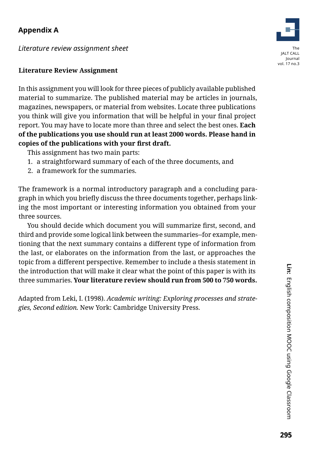# **Appendix A**

*Literature review assignment sheet* 



#### **Literature Review Assignment**

In this assignment you will look for three pieces of publicly available published material to summarize. The published material may be articles in journals, magazines, newspapers, or material from websites. Locate three publications you think will give you information that will be helpful in your final project report. You may have to locate more than three and select the best ones. **Each of the publications you use should run at least 2000 words. Please hand in copies of the publications with your first draft.**

This assignment has two main parts:

- 1. a straightforward summary of each of the three documents, and
- 2. a framework for the summaries.

The framework is a normal introductory paragraph and a concluding paragraph in which you briefly discuss the three documents together, perhaps linking the most important or interesting information you obtained from your three sources.

You should decide which document you will summarize first, second, and third and provide some logical link between the summaries--for example, mentioning that the next summary contains a different type of information from the last, or elaborates on the information from the last, or approaches the topic from a different perspective. Remember to include a thesis statement in the introduction that will make it clear what the point of this paper is with its three summaries. **Your literature review should run from 500 to 750 words.**

Adapted from Leki, I. (1998). *Academic writing: Exploring processes and strategies, Second edition.* New York: Cambridge University Press.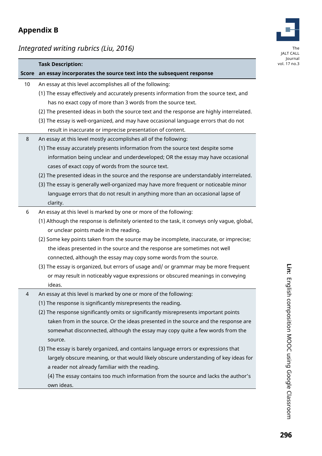# **Appendix B**

*Integrated writing rubrics (Liu, 2016)*



|    | <b>Task Description:</b>                                                                     |
|----|----------------------------------------------------------------------------------------------|
|    | Score an essay incorporates the source text into the subsequent response                     |
| 10 | An essay at this level accomplishes all of the following:                                    |
|    | (1) The essay effectively and accurately presents information from the source text, and      |
|    | has no exact copy of more than 3 words from the source text.                                 |
|    | (2) The presented ideas in both the source text and the response are highly interrelated.    |
|    | (3) The essay is well-organized, and may have occasional language errors that do not         |
|    | result in inaccurate or imprecise presentation of content.                                   |
| 8  | An essay at this level mostly accomplishes all of the following:                             |
|    | (1) The essay accurately presents information from the source text despite some              |
|    | information being unclear and underdeveloped; OR the essay may have occasional               |
|    | cases of exact copy of words from the source text.                                           |
|    | (2) The presented ideas in the source and the response are understandably interrelated.      |
|    | (3) The essay is generally well-organized may have more frequent or noticeable minor         |
|    | language errors that do not result in anything more than an occasional lapse of              |
|    | clarity.                                                                                     |
| 6  | An essay at this level is marked by one or more of the following:                            |
|    | (1) Although the response is definitely oriented to the task, it conveys only vague, global, |
|    | or unclear points made in the reading.                                                       |
|    | (2) Some key points taken from the source may be incomplete, inaccurate, or imprecise;       |
|    | the ideas presented in the source and the response are sometimes not well                    |
|    | connected, although the essay may copy some words from the source.                           |
|    | (3) The essay is organized, but errors of usage and/ or grammar may be more frequent         |
|    | or may result in noticeably vague expressions or obscured meanings in conveying              |
|    | ideas.                                                                                       |
| 4  | An essay at this level is marked by one or more of the following:                            |
|    | (1) The response is significantly misrepresents the reading.                                 |
|    | (2) The response significantly omits or significantly misrepresents important points         |
|    | taken from in the source. Or the ideas presented in the source and the response are          |
|    | somewhat disconnected, although the essay may copy quite a few words from the                |
|    | source.                                                                                      |
|    | (3) The essay is barely organized, and contains language errors or expressions that          |
|    | largely obscure meaning, or that would likely obscure understanding of key ideas for         |
|    | a reader not already familiar with the reading.                                              |
|    | (4) The essay contains too much information from the source and lacks the author's           |
|    | own ideas.                                                                                   |